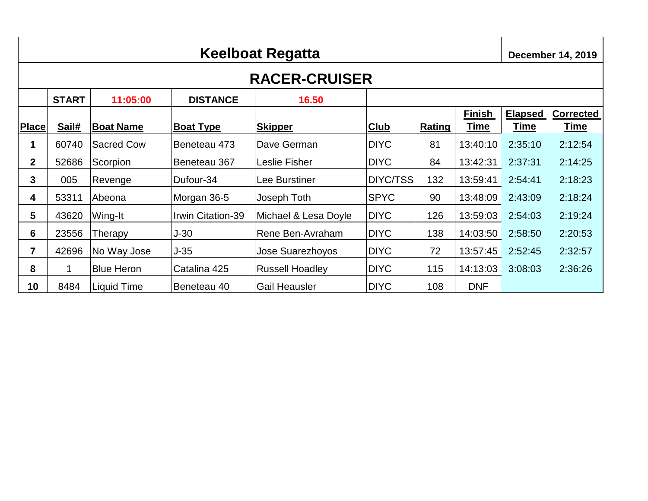|                | Keelboat Regatta     |                   |                   |                        |             |        |                              |                               | <b>December 14, 2019</b>        |  |
|----------------|----------------------|-------------------|-------------------|------------------------|-------------|--------|------------------------------|-------------------------------|---------------------------------|--|
|                | <b>RACER-CRUISER</b> |                   |                   |                        |             |        |                              |                               |                                 |  |
|                | <b>START</b>         | 11:05:00          | <b>DISTANCE</b>   | 16.50                  |             |        |                              |                               |                                 |  |
| <b>Place</b>   | Sail#                | <b>Boat Name</b>  | <b>Boat Type</b>  | <b>Skipper</b>         | <b>Club</b> | Rating | <b>Finish</b><br><u>Time</u> | <b>Elapsed</b><br><u>Time</u> | <b>Corrected</b><br><u>Time</u> |  |
| 1              | 60740                | <b>Sacred Cow</b> | Beneteau 473      | Dave German            | <b>DIYC</b> | 81     | 13:40:10                     | 2:35:10                       | 2:12:54                         |  |
| $\mathbf{2}$   | 52686                | Scorpion          | Beneteau 367      | Leslie Fisher          | <b>DIYC</b> | 84     | 13:42:31                     | 2:37:31                       | 2:14:25                         |  |
| 3              | 005                  | Revenge           | Dufour-34         | Lee Burstiner          | DIYC/TSS    | 132    | 13:59:41                     | 2:54:41                       | 2:18:23                         |  |
| 4              | 53311                | Abeona            | Morgan 36-5       | Joseph Toth            | <b>SPYC</b> | 90     | 13:48:09                     | 2:43:09                       | 2:18:24                         |  |
| 5              | 43620                | Wing-It           | Irwin Citation-39 | Michael & Lesa Doyle   | <b>DIYC</b> | 126    | 13:59:03                     | 2:54:03                       | 2:19:24                         |  |
| 6              | 23556                | Therapy           | $J-30$            | Rene Ben-Avraham       | <b>DIYC</b> | 138    | 14:03:50                     | 2:58:50                       | 2:20:53                         |  |
| $\overline{7}$ | 42696                | No Way Jose       | $J-35$            | Jose Suarezhoyos       | <b>DIYC</b> | 72     | 13:57:45                     | 2:52:45                       | 2:32:57                         |  |
| 8              | 1                    | <b>Blue Heron</b> | Catalina 425      | <b>Russell Hoadley</b> | <b>DIYC</b> | 115    | 14:13:03                     | 3:08:03                       | 2:36:26                         |  |
| 10             | 8484                 | Liquid Time       | Beneteau 40       | <b>Gail Heausler</b>   | <b>DIYC</b> | 108    | <b>DNF</b>                   |                               |                                 |  |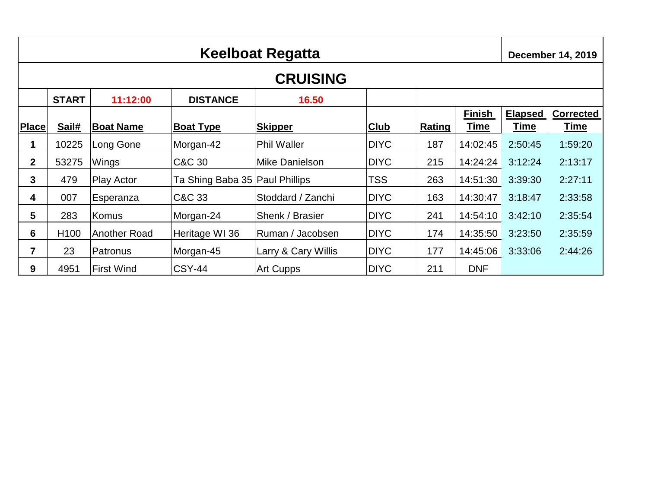|                | <b>Keelboat Regatta</b> |                   |                                |                     |             |        |                              |                               |                                 |  |  |  |  |
|----------------|-------------------------|-------------------|--------------------------------|---------------------|-------------|--------|------------------------------|-------------------------------|---------------------------------|--|--|--|--|
|                | <b>CRUISING</b>         |                   |                                |                     |             |        |                              |                               |                                 |  |  |  |  |
|                | <b>START</b>            | 11:12:00          | <b>DISTANCE</b>                | 16.50               |             |        |                              |                               |                                 |  |  |  |  |
| <b>Place</b>   | Sail#                   | <b>Boat Name</b>  | <b>Boat Type</b>               | <b>Skipper</b>      | <b>Club</b> | Rating | <b>Finish</b><br><b>Time</b> | <b>Elapsed</b><br><u>Time</u> | <b>Corrected</b><br><u>Time</u> |  |  |  |  |
| 1              | 10225                   | Long Gone         | Morgan-42                      | <b>Phil Waller</b>  | <b>DIYC</b> | 187    | 14:02:45                     | 2:50:45                       | 1:59:20                         |  |  |  |  |
| $\mathbf{2}$   | 53275                   | Wings             | C&C 30                         | Mike Danielson      | <b>DIYC</b> | 215    | 14:24:24                     | 3:12:24                       | 2:13:17                         |  |  |  |  |
| 3              | 479                     | Play Actor        | Ta Shing Baba 35 Paul Phillips |                     | <b>TSS</b>  | 263    | 14:51:30                     | 3:39:30                       | 2:27:11                         |  |  |  |  |
| 4              | 007                     | Esperanza         | C&C 33                         | Stoddard / Zanchi   | <b>DIYC</b> | 163    | 14:30:47                     | 3:18:47                       | 2:33:58                         |  |  |  |  |
| 5              | 283                     | <b>Komus</b>      | Morgan-24                      | Shenk / Brasier     | <b>DIYC</b> | 241    | 14:54:10                     | 3:42:10                       | 2:35:54                         |  |  |  |  |
| 6              | H <sub>100</sub>        | Another Road      | Heritage WI 36                 | Ruman / Jacobsen    | <b>DIYC</b> | 174    | 14:35:50                     | 3:23:50                       | 2:35:59                         |  |  |  |  |
| $\overline{7}$ | 23                      | Patronus          | Morgan-45                      | Larry & Cary Willis | <b>DIYC</b> | 177    | 14:45:06                     | 3:33:06                       | 2:44:26                         |  |  |  |  |
| 9              | 4951                    | <b>First Wind</b> | <b>CSY-44</b>                  | Art Cupps           | <b>DIYC</b> | 211    | <b>DNF</b>                   |                               |                                 |  |  |  |  |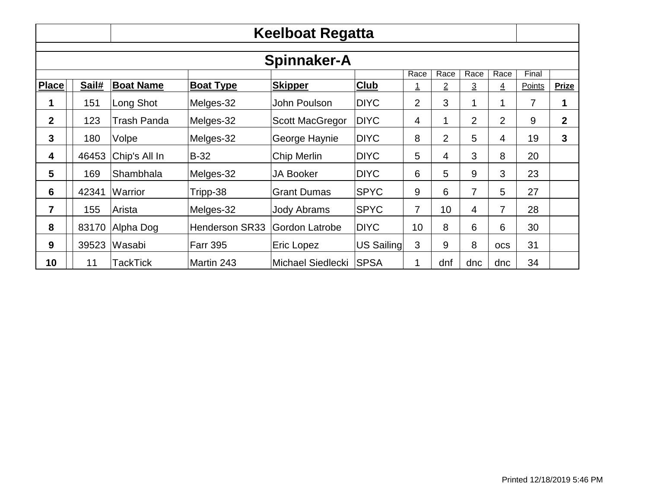|                |       |                  |                       | Keelboat Regatta       |             |                |                |                |                |        |                  |
|----------------|-------|------------------|-----------------------|------------------------|-------------|----------------|----------------|----------------|----------------|--------|------------------|
|                |       |                  |                       | <b>Spinnaker-A</b>     |             |                |                |                |                |        |                  |
|                |       |                  |                       |                        |             | Race           | Race           | Race           | Race           | Final  |                  |
| <b>Place</b>   | Sail# | <b>Boat Name</b> | <b>Boat Type</b>      | <b>Skipper</b>         | Club        | <u>1</u>       | $\overline{2}$ | $\overline{3}$ | $\overline{4}$ | Points | <b>Prize</b>     |
|                | 151   | Long Shot        | Melges-32             | John Poulson           | <b>DIYC</b> | $\overline{2}$ | 3              | 1              | 1              | 7      | 1                |
| $\overline{2}$ | 123   | Trash Panda      | Melges-32             | <b>Scott MacGregor</b> | <b>DIYC</b> | 4              | 1              | $\overline{2}$ | 2              | 9      | $\boldsymbol{2}$ |
| 3              | 180   | Volpe            | Melges-32             | George Haynie          | <b>DIYC</b> | 8              | $\overline{2}$ | 5              | 4              | 19     | 3                |
| 4              | 46453 | Chip's All In    | $B-32$                | Chip Merlin            | <b>DIYC</b> | 5              | 4              | 3              | 8              | 20     |                  |
| 5              | 169   | Shambhala        | Melges-32             | <b>JA Booker</b>       | <b>DIYC</b> | 6              | 5              | 9              | 3              | 23     |                  |
| 6              | 42341 | Warrior          | Tripp-38              | <b>Grant Dumas</b>     | <b>SPYC</b> | 9              | 6              | 7              | 5              | 27     |                  |
| 7              | 155   | Arista           | Melges-32             | <b>Jody Abrams</b>     | <b>SPYC</b> | $\overline{7}$ | 10             | 4              | 7              | 28     |                  |
| 8              | 83170 | Alpha Dog        | <b>Henderson SR33</b> | Gordon Latrobe         | <b>DIYC</b> | 10             | 8              | 6              | 6              | 30     |                  |
| 9              | 39523 | Wasabi           | <b>Farr 395</b>       | Eric Lopez             | US Sailing  | 3              | 9              | 8              | <b>OCS</b>     | 31     |                  |
| 10             | 11    | TackTick         | Martin 243            | Michael Siedlecki      | <b>SPSA</b> | 1              | dnf            | dnc            | dnc            | 34     |                  |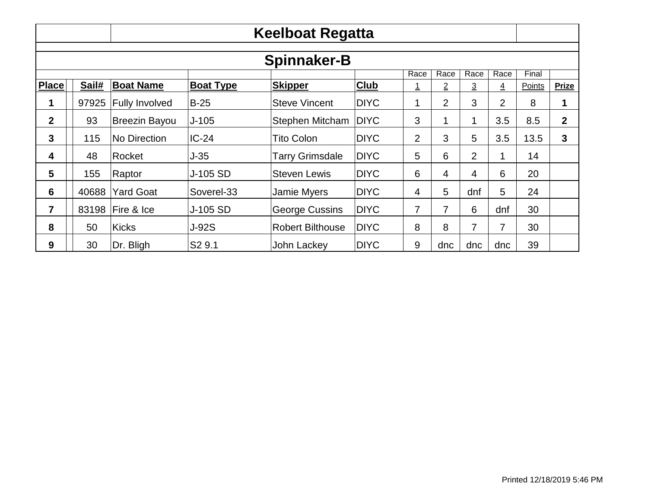|                    |       |                       |                    | Keelboat Regatta        |             |                |                |                |                |        |              |  |
|--------------------|-------|-----------------------|--------------------|-------------------------|-------------|----------------|----------------|----------------|----------------|--------|--------------|--|
| <b>Spinnaker-B</b> |       |                       |                    |                         |             |                |                |                |                |        |              |  |
|                    |       |                       |                    |                         |             | Race           | Race           | Race           | Race           | Final  |              |  |
| <b>Place</b>       | Sail# | <b>Boat Name</b>      | <b>Boat Type</b>   | <b>Skipper</b>          | Club        |                | $\overline{2}$ | $\overline{3}$ | $\overline{4}$ | Points | <b>Prize</b> |  |
| 1                  | 97925 | <b>Fully Involved</b> | $B-25$             | <b>Steve Vincent</b>    | <b>DIYC</b> | 1              | $\overline{2}$ | 3              | $\overline{2}$ | 8      | 1            |  |
| $\overline{2}$     | 93    | <b>Breezin Bayou</b>  | $J-105$            | <b>Stephen Mitcham</b>  | <b>DIYC</b> | 3              | $\mathbf{1}$   | 1              | 3.5            | 8.5    | $\mathbf{2}$ |  |
| 3                  | 115   | No Direction          | $IC-24$            | <b>Tito Colon</b>       | <b>DIYC</b> | $\overline{2}$ | 3              | 5              | 3.5            | 13.5   | 3            |  |
| 4                  | 48    | Rocket                | $J-35$             | Tarry Grimsdale         | <b>DIYC</b> | 5              | 6              | $\overline{2}$ | 1              | 14     |              |  |
| 5                  | 155   | Raptor                | J-105 SD           | <b>Steven Lewis</b>     | <b>DIYC</b> | 6              | $\overline{4}$ | 4              | 6              | 20     |              |  |
| 6                  | 40688 | <b>Yard Goat</b>      | Soverel-33         | <b>Jamie Myers</b>      | <b>DIYC</b> | 4              | 5              | dnf            | 5              | 24     |              |  |
| $\overline{7}$     | 83198 | Fire & Ice            | J-105 SD           | George Cussins          | <b>DIYC</b> | 7              | 7              | 6              | dnf            | 30     |              |  |
| 8                  | 50    | <b>Kicks</b>          | <b>J-92S</b>       | <b>Robert Bilthouse</b> | <b>DIYC</b> | 8              | 8              | $\overline{7}$ | 7              | 30     |              |  |
| 9                  | 30    | Dr. Bligh             | S <sub>2</sub> 9.1 | John Lackey             | <b>DIYC</b> | 9              | dnc            | dnc            | dnc            | 39     |              |  |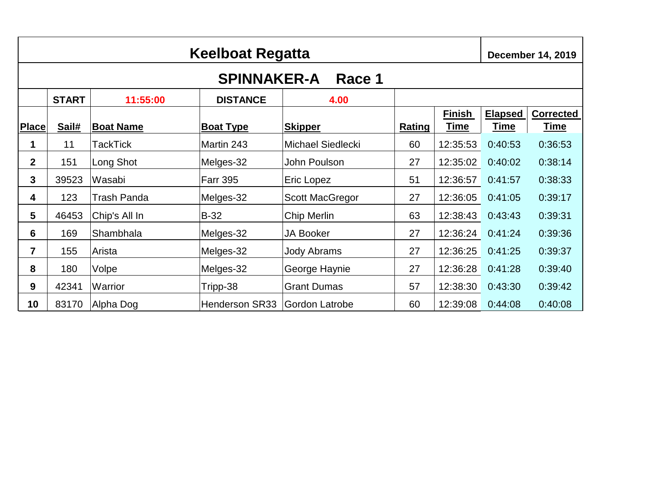|                 | Keelboat Regatta<br><b>December 14, 2019</b> |                  |                       |                          |        |                              |                               |                                 |
|-----------------|----------------------------------------------|------------------|-----------------------|--------------------------|--------|------------------------------|-------------------------------|---------------------------------|
|                 |                                              |                  | <b>SPINNAKER-A</b>    | Race 1                   |        |                              |                               |                                 |
|                 | <b>START</b>                                 | 11:55:00         | <b>DISTANCE</b>       | 4.00                     |        |                              |                               |                                 |
| <b>Place</b>    | Sail#                                        | <b>Boat Name</b> | <b>Boat Type</b>      | <b>Skipper</b>           | Rating | <b>Finish</b><br><u>Time</u> | <b>Elapsed</b><br><u>Time</u> | <b>Corrected</b><br><u>Time</u> |
| 1               | 11                                           | TackTick         | Martin 243            | <b>Michael Siedlecki</b> | 60     | 12:35:53                     | 0:40:53                       | 0:36:53                         |
| $\mathbf{2}$    | 151                                          | Long Shot        | Melges-32             | John Poulson             | 27     | 12:35:02                     | 0:40:02                       | 0:38:14                         |
| 3               | 39523                                        | Wasabi           | <b>Farr 395</b>       | Eric Lopez               | 51     | 12:36:57                     | 0:41:57                       | 0:38:33                         |
| 4               | 123                                          | Trash Panda      | Melges-32             | <b>Scott MacGregor</b>   | 27     | 12:36:05                     | 0:41:05                       | 0:39:17                         |
| $5\phantom{.0}$ | 46453                                        | Chip's All In    | <b>B-32</b>           | Chip Merlin              | 63     | 12:38:43                     | 0:43:43                       | 0:39:31                         |
| 6               | 169                                          | Shambhala        | Melges-32             | <b>JA Booker</b>         | 27     | 12:36:24                     | 0:41:24                       | 0:39:36                         |
| $\overline{7}$  | 155                                          | Arista           | Melges-32             | <b>Jody Abrams</b>       | 27     | 12:36:25                     | 0:41:25                       | 0:39:37                         |
| 8               | 180                                          | Volpe            | Melges-32             | George Haynie            | 27     | 12:36:28                     | 0:41:28                       | 0:39:40                         |
| 9               | 42341                                        | Warrior          | Tripp-38              | <b>Grant Dumas</b>       | 57     | 12:38:30                     | 0:43:30                       | 0:39:42                         |
| 10              | 83170                                        | Alpha Dog        | <b>Henderson SR33</b> | <b>Gordon Latrobe</b>    | 60     | 12:39:08                     | 0:44:08                       | 0:40:08                         |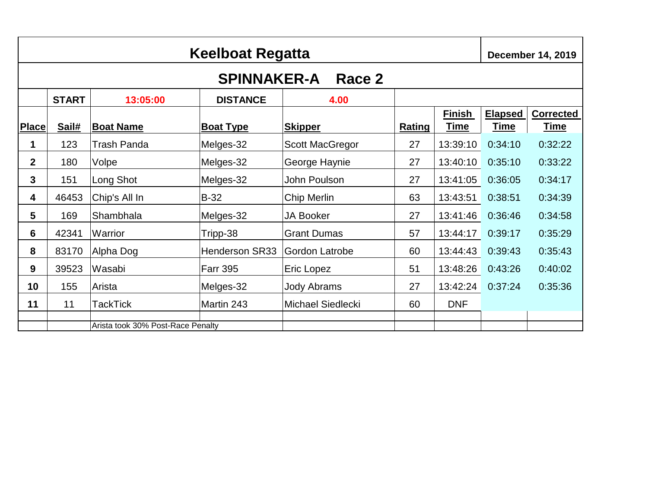|              | <b>Keelboat Regatta</b><br><b>December 14, 2019</b> |                                   |                       |                        |               |                              |                               |                                 |
|--------------|-----------------------------------------------------|-----------------------------------|-----------------------|------------------------|---------------|------------------------------|-------------------------------|---------------------------------|
|              |                                                     |                                   | <b>SPINNAKER-A</b>    | Race 2                 |               |                              |                               |                                 |
|              | <b>START</b>                                        | 13:05:00                          | <b>DISTANCE</b>       | 4.00                   |               |                              |                               |                                 |
| <b>Place</b> | Sail#                                               | <b>Boat Name</b>                  | <b>Boat Type</b>      | <b>Skipper</b>         | <b>Rating</b> | <b>Finish</b><br><u>Time</u> | <b>Elapsed</b><br><u>Time</u> | <b>Corrected</b><br><u>Time</u> |
| 1            | 123                                                 | <b>Trash Panda</b>                | Melges-32             | <b>Scott MacGregor</b> | 27            | 13:39:10                     | 0:34:10                       | 0:32:22                         |
| $\mathbf{2}$ | 180                                                 | Volpe                             | Melges-32             | George Haynie          | 27            | 13:40:10                     | 0:35:10                       | 0:33:22                         |
| 3            | 151                                                 | Long Shot                         | Melges-32             | John Poulson           | 27            | 13:41:05                     | 0:36:05                       | 0:34:17                         |
| 4            | 46453                                               | Chip's All In                     | <b>B-32</b>           | Chip Merlin            | 63            | 13:43:51                     | 0:38:51                       | 0:34:39                         |
| 5            | 169                                                 | Shambhala                         | Melges-32             | <b>JA Booker</b>       | 27            | 13:41:46                     | 0:36:46                       | 0:34:58                         |
| 6            | 42341                                               | Warrior                           | Tripp-38              | <b>Grant Dumas</b>     | 57            | 13:44:17                     | 0:39:17                       | 0:35:29                         |
| 8            | 83170                                               | Alpha Dog                         | <b>Henderson SR33</b> | Gordon Latrobe         | 60            | 13:44:43                     | 0:39:43                       | 0:35:43                         |
| 9            | 39523                                               | Wasabi                            | <b>Farr 395</b>       | Eric Lopez             | 51            | 13:48:26                     | 0:43:26                       | 0:40:02                         |
| 10           | 155                                                 | Arista                            | Melges-32             | <b>Jody Abrams</b>     | 27            | 13:42:24                     | 0:37:24                       | 0:35:36                         |
| 11           | 11                                                  | <b>TackTick</b>                   | Martin 243            | Michael Siedlecki      | 60            | <b>DNF</b>                   |                               |                                 |
|              |                                                     | Arista took 30% Post-Race Penalty |                       |                        |               |                              |                               |                                 |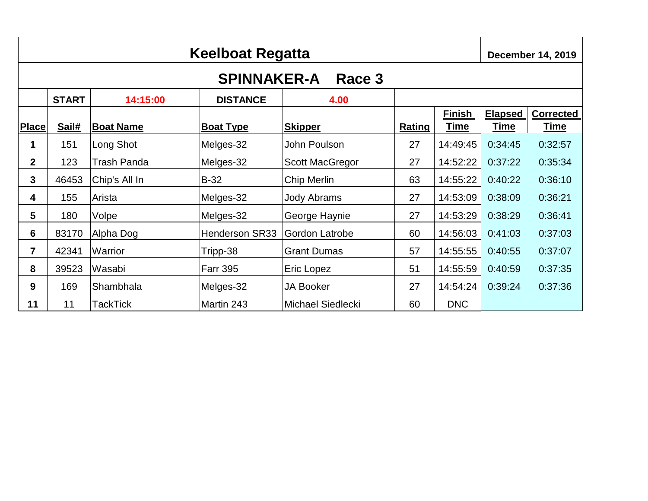|              | <b>Keelboat Regatta</b><br><b>December 14, 2019</b> |                    |                       |                          |               |                       |                        |                          |
|--------------|-----------------------------------------------------|--------------------|-----------------------|--------------------------|---------------|-----------------------|------------------------|--------------------------|
|              |                                                     |                    | <b>SPINNAKER-A</b>    | Race 3                   |               |                       |                        |                          |
|              | <b>START</b>                                        | 14:15:00           | <b>DISTANCE</b>       | 4.00                     |               |                       |                        |                          |
| <b>Place</b> | Sail#                                               | <b>Boat Name</b>   | <b>Boat Type</b>      | <b>Skipper</b>           | <b>Rating</b> | <b>Finish</b><br>Time | <b>Elapsed</b><br>Time | <b>Corrected</b><br>Time |
| 1            | 151                                                 | Long Shot          | Melges-32             | John Poulson             | 27            | 14:49:45              | 0:34:45                | 0:32:57                  |
| $\mathbf{2}$ | 123                                                 | <b>Trash Panda</b> | Melges-32             | <b>Scott MacGregor</b>   | 27            | 14:52:22              | 0:37:22                | 0:35:34                  |
| 3            | 46453                                               | Chip's All In      | <b>B-32</b>           | Chip Merlin              | 63            | 14:55:22              | 0:40:22                | 0:36:10                  |
| 4            | 155                                                 | Arista             | Melges-32             | <b>Jody Abrams</b>       | 27            | 14:53:09              | 0:38:09                | 0:36:21                  |
| 5            | 180                                                 | Volpe              | Melges-32             | George Haynie            | 27            | 14:53:29              | 0:38:29                | 0:36:41                  |
| 6            | 83170                                               | Alpha Dog          | <b>Henderson SR33</b> | Gordon Latrobe           | 60            | 14:56:03              | 0:41:03                | 0:37:03                  |
| 7            | 42341                                               | Warrior            | Tripp-38              | <b>Grant Dumas</b>       | 57            | 14:55:55              | 0:40:55                | 0:37:07                  |
| 8            | 39523                                               | Wasabi             | <b>Farr 395</b>       | Eric Lopez               | 51            | 14:55:59              | 0:40:59                | 0:37:35                  |
| 9            | 169                                                 | Shambhala          | Melges-32             | <b>JA Booker</b>         | 27            | 14:54:24              | 0:39:24                | 0:37:36                  |
| 11           | 11                                                  | TackTick           | Martin 243            | <b>Michael Siedlecki</b> | 60            | <b>DNC</b>            |                        |                          |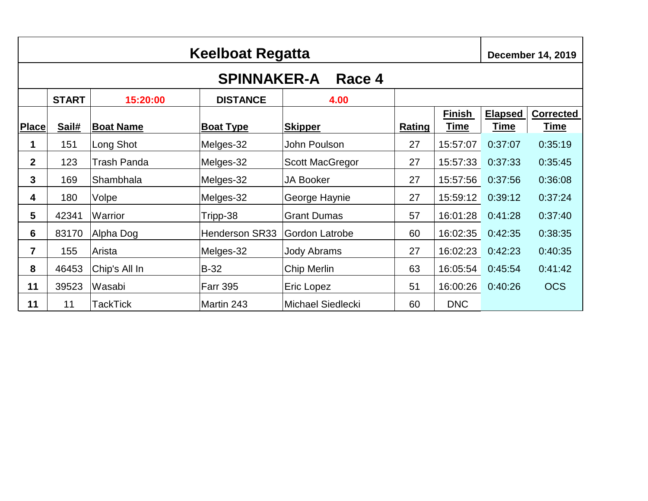|                | <b>Keelboat Regatta</b> |                    |                       |                          |               |                              |                        |                          |
|----------------|-------------------------|--------------------|-----------------------|--------------------------|---------------|------------------------------|------------------------|--------------------------|
|                |                         |                    | <b>SPINNAKER-A</b>    | Race 4                   |               |                              |                        |                          |
|                | <b>START</b>            | 15:20:00           | <b>DISTANCE</b>       | 4.00                     |               |                              |                        |                          |
| <b>Place</b>   | Sail#                   | <b>Boat Name</b>   | <b>Boat Type</b>      | <b>Skipper</b>           | <b>Rating</b> | <b>Finish</b><br><b>Time</b> | <b>Elapsed</b><br>Time | <b>Corrected</b><br>Time |
| 1              | 151                     | Long Shot          | Melges-32             | John Poulson             | 27            | 15:57:07                     | 0:37:07                | 0:35:19                  |
| $\mathbf{2}$   | 123                     | <b>Trash Panda</b> | Melges-32             | <b>Scott MacGregor</b>   | 27            | 15:57:33                     | 0:37:33                | 0:35:45                  |
| 3              | 169                     | Shambhala          | Melges-32             | <b>JA Booker</b>         | 27            | 15:57:56                     | 0:37:56                | 0:36:08                  |
| 4              | 180                     | Volpe              | Melges-32             | George Haynie            | 27            | 15:59:12                     | 0:39:12                | 0:37:24                  |
| 5              | 42341                   | Warrior            | Tripp-38              | <b>Grant Dumas</b>       | 57            | 16:01:28                     | 0:41:28                | 0:37:40                  |
| $6\phantom{1}$ | 83170                   | Alpha Dog          | <b>Henderson SR33</b> | Gordon Latrobe           | 60            | 16:02:35                     | 0:42:35                | 0:38:35                  |
| $\overline{7}$ | 155                     | Arista             | Melges-32             | <b>Jody Abrams</b>       | 27            | 16:02:23                     | 0:42:23                | 0:40:35                  |
| 8              | 46453                   | Chip's All In      | $B-32$                | Chip Merlin              | 63            | 16:05:54                     | 0:45:54                | 0:41:42                  |
| 11             | 39523                   | Wasabi             | <b>Farr 395</b>       | Eric Lopez               | 51            | 16:00:26                     | 0:40:26                | <b>OCS</b>               |
| 11             | 11                      | TackTick           | Martin 243            | <b>Michael Siedlecki</b> | 60            | <b>DNC</b>                   |                        |                          |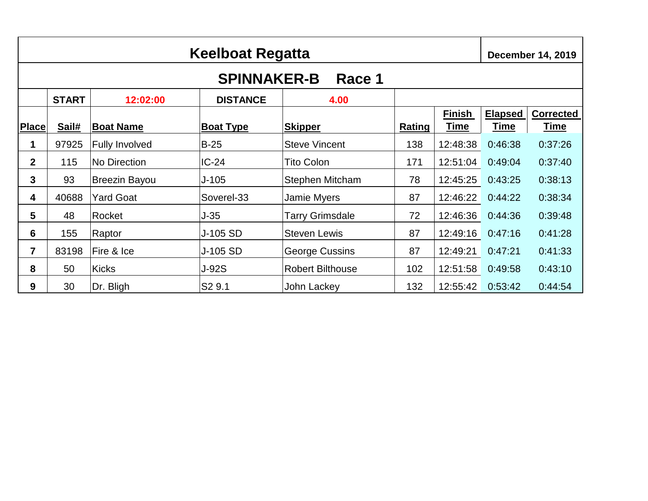|                | Keelboat Regatta |                       |                    |                         |        |                              |                               |                                 |
|----------------|------------------|-----------------------|--------------------|-------------------------|--------|------------------------------|-------------------------------|---------------------------------|
|                |                  |                       | <b>SPINNAKER-B</b> | Race 1                  |        |                              |                               |                                 |
|                | <b>START</b>     | 12:02:00              | <b>DISTANCE</b>    | 4.00                    |        |                              |                               |                                 |
| Place          | Sail#            | <b>Boat Name</b>      | <b>Boat Type</b>   | <b>Skipper</b>          | Rating | <b>Finish</b><br><u>Time</u> | <b>Elapsed</b><br><b>Time</b> | <b>Corrected</b><br><u>Time</u> |
| 1              | 97925            | <b>Fully Involved</b> | $B-25$             | <b>Steve Vincent</b>    | 138    | 12:48:38                     | 0:46:38                       | 0:37:26                         |
| $\mathbf{2}$   | 115              | No Direction          | $IC-24$            | <b>Tito Colon</b>       | 171    | 12:51:04                     | 0:49:04                       | 0:37:40                         |
| 3              | 93               | <b>Breezin Bayou</b>  | $J-105$            | <b>Stephen Mitcham</b>  | 78     | 12:45:25                     | 0:43:25                       | 0:38:13                         |
| 4              | 40688            | Yard Goat             | Soverel-33         | <b>Jamie Myers</b>      | 87     | 12:46:22                     | 0:44:22                       | 0:38:34                         |
| 5              | 48               | Rocket                | $J-35$             | <b>Tarry Grimsdale</b>  | 72     | 12:46:36                     | 0:44:36                       | 0:39:48                         |
| 6              | 155              | Raptor                | J-105 SD           | <b>Steven Lewis</b>     | 87     | 12:49:16                     | 0:47:16                       | 0:41:28                         |
| $\overline{7}$ | 83198            | Fire & Ice            | J-105 SD           | <b>George Cussins</b>   | 87     | 12:49:21                     | 0:47:21                       | 0:41:33                         |
| 8              | 50               | <b>Kicks</b>          | <b>J-92S</b>       | <b>Robert Bilthouse</b> | 102    | 12:51:58                     | 0:49:58                       | 0:43:10                         |
| 9              | 30               | Dr. Bligh             | S <sub>2</sub> 9.1 | John Lackey             | 132    | 12:55:42                     | 0:53:42                       | 0:44:54                         |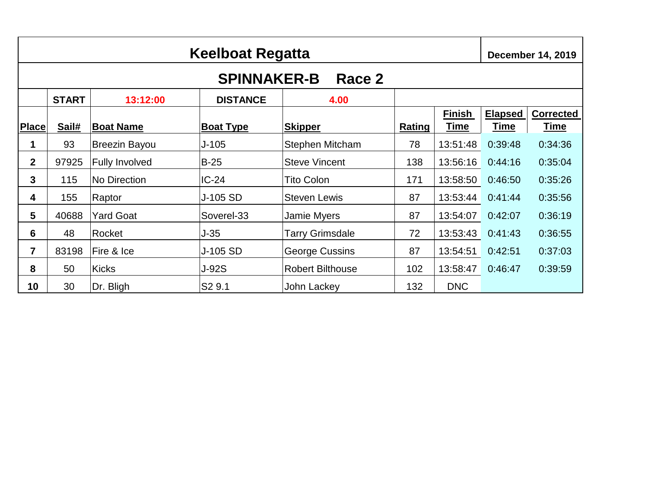|                | <b>Keelboat Regatta</b><br><b>December 14, 2019</b> |                       |                    |                         |        |                              |                               |                                 |  |
|----------------|-----------------------------------------------------|-----------------------|--------------------|-------------------------|--------|------------------------------|-------------------------------|---------------------------------|--|
|                |                                                     |                       | <b>SPINNAKER-B</b> | Race 2                  |        |                              |                               |                                 |  |
|                | <b>START</b>                                        | 13:12:00              | <b>DISTANCE</b>    | 4.00                    |        |                              |                               |                                 |  |
| <b>Place</b>   | Sail#                                               | <b>Boat Name</b>      | <b>Boat Type</b>   | <b>Skipper</b>          | Rating | <b>Finish</b><br><u>Time</u> | <b>Elapsed</b><br><u>Time</u> | <b>Corrected</b><br><u>Time</u> |  |
| 1              | 93                                                  | <b>Breezin Bayou</b>  | $J-105$            | <b>Stephen Mitcham</b>  | 78     | 13:51:48                     | 0:39:48                       | 0:34:36                         |  |
| $\mathbf{2}$   | 97925                                               | <b>Fully Involved</b> | $B-25$             | <b>Steve Vincent</b>    | 138    | 13:56:16                     | 0:44:16                       | 0:35:04                         |  |
| 3              | 115                                                 | No Direction          | $IC-24$            | <b>Tito Colon</b>       | 171    | 13:58:50                     | 0:46:50                       | 0:35:26                         |  |
| 4              | 155                                                 | Raptor                | J-105 SD           | <b>Steven Lewis</b>     | 87     | 13:53:44                     | 0:41:44                       | 0:35:56                         |  |
| 5              | 40688                                               | Yard Goat             | Soverel-33         | Jamie Myers             | 87     | 13:54:07                     | 0:42:07                       | 0:36:19                         |  |
| 6              | 48                                                  | Rocket                | J-35               | <b>Tarry Grimsdale</b>  | 72     | 13:53:43                     | 0:41:43                       | 0:36:55                         |  |
| $\overline{7}$ | 83198                                               | Fire & Ice            | J-105 SD           | George Cussins          | 87     | 13:54:51                     | 0:42:51                       | 0:37:03                         |  |
| 8              | 50                                                  | <b>Kicks</b>          | <b>J-92S</b>       | <b>Robert Bilthouse</b> | 102    | 13:58:47                     | 0:46:47                       | 0:39:59                         |  |
| 10             | 30                                                  | Dr. Bligh             | S2 9.1             | John Lackey             | 132    | <b>DNC</b>                   |                               |                                 |  |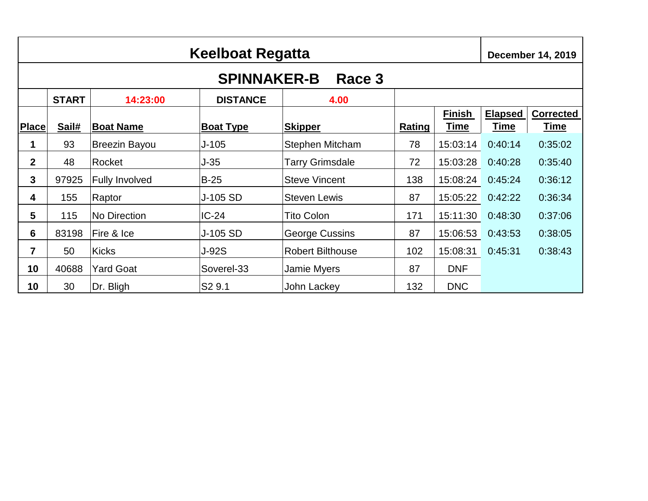|                 | Keelboat Regatta<br><b>December 14, 2019</b> |                       |                    |                         |        |                              |                               |                                 |
|-----------------|----------------------------------------------|-----------------------|--------------------|-------------------------|--------|------------------------------|-------------------------------|---------------------------------|
|                 |                                              |                       | <b>SPINNAKER-B</b> | Race 3                  |        |                              |                               |                                 |
|                 | <b>START</b>                                 | 14:23:00              | <b>DISTANCE</b>    | 4.00                    |        |                              |                               |                                 |
| <b>Place</b>    | Sail#                                        | <b>Boat Name</b>      | <b>Boat Type</b>   | <b>Skipper</b>          | Rating | <b>Finish</b><br><u>Time</u> | <b>Elapsed</b><br><u>Time</u> | <b>Corrected</b><br><u>Time</u> |
| 1               | 93                                           | <b>Breezin Bayou</b>  | $J-105$            | <b>Stephen Mitcham</b>  | 78     | 15:03:14                     | 0:40:14                       | 0:35:02                         |
| $\overline{2}$  | 48                                           | Rocket                | $J-35$             | Tarry Grimsdale         | 72     | 15:03:28                     | 0:40:28                       | 0:35:40                         |
| 3               | 97925                                        | <b>Fully Involved</b> | $B-25$             | <b>Steve Vincent</b>    | 138    | 15:08:24                     | 0:45:24                       | 0:36:12                         |
| 4               | 155                                          | Raptor                | J-105 SD           | <b>Steven Lewis</b>     | 87     | 15:05:22                     | 0:42:22                       | 0:36:34                         |
| 5               | 115                                          | No Direction          | $IC-24$            | <b>Tito Colon</b>       | 171    | 15:11:30                     | 0:48:30                       | 0:37:06                         |
| $6\phantom{1}6$ | 83198                                        | Fire & Ice            | J-105 SD           | George Cussins          | 87     | 15:06:53                     | 0:43:53                       | 0:38:05                         |
| $\overline{7}$  | 50                                           | <b>Kicks</b>          | <b>J-92S</b>       | <b>Robert Bilthouse</b> | 102    | 15:08:31                     | 0:45:31                       | 0:38:43                         |
| 10              | 40688                                        | Yard Goat             | Soverel-33         | <b>Jamie Myers</b>      | 87     | <b>DNF</b>                   |                               |                                 |
| 10              | 30                                           | Dr. Bligh             | S <sub>2</sub> 9.1 | John Lackey             | 132    | <b>DNC</b>                   |                               |                                 |